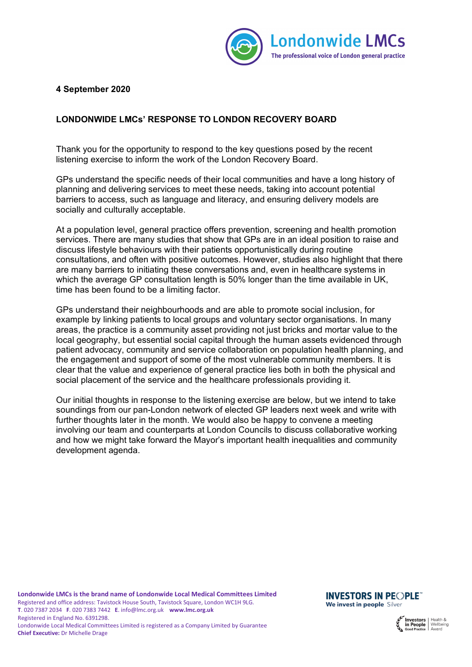

## **4 September 2020**

## **LONDONWIDE LMCs' RESPONSE TO LONDON RECOVERY BOARD**

Thank you for the opportunity to respond to the key questions posed by the recent listening exercise to inform the work of the London Recovery Board.

GPs understand the specific needs of their local communities and have a long history of planning and delivering services to meet these needs, taking into account potential barriers to access, such as language and literacy, and ensuring delivery models are socially and culturally acceptable.

At a population level, general practice offers prevention, screening and health promotion services. There are many studies that show that GPs are in an ideal position to raise and discuss lifestyle behaviours with their patients opportunistically during routine consultations, and often with positive outcomes. However, studies also highlight that there are many barriers to initiating these conversations and, even in healthcare systems in which the average GP consultation length is 50% longer than the time available in UK, time has been found to be a limiting factor.

GPs understand their neighbourhoods and are able to promote social inclusion, for example by linking patients to local groups and voluntary sector organisations. In many areas, the practice is a community asset providing not just bricks and mortar value to the local geography, but essential social capital through the human assets evidenced through patient advocacy, community and service collaboration on population health planning, and the engagement and support of some of the most vulnerable community members. It is clear that the value and experience of general practice lies both in both the physical and social placement of the service and the healthcare professionals providing it.

Our initial thoughts in response to the listening exercise are below, but we intend to take soundings from our pan-London network of elected GP leaders next week and write with further thoughts later in the month. We would also be happy to convene a meeting involving our team and counterparts at London Councils to discuss collaborative working and how we might take forward the Mayor's important health inequalities and community development agenda.

**INVESTORS IN PEOPLE** We invest in people Silver

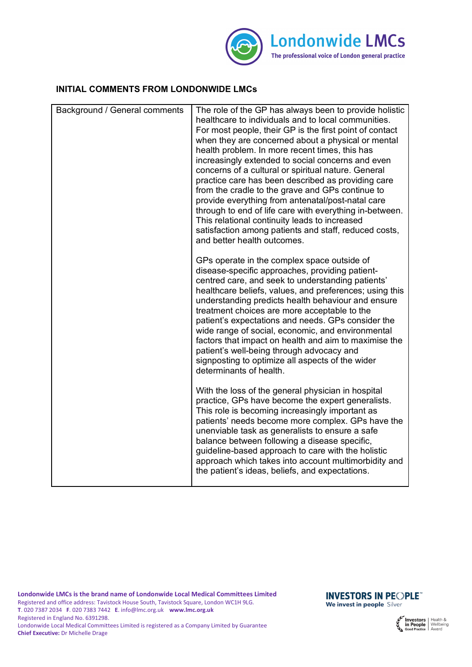

## **INITIAL COMMENTS FROM LONDONWIDE LMCs**

| Background / General comments | The role of the GP has always been to provide holistic<br>healthcare to individuals and to local communities.<br>For most people, their GP is the first point of contact<br>when they are concerned about a physical or mental<br>health problem. In more recent times, this has<br>increasingly extended to social concerns and even<br>concerns of a cultural or spiritual nature. General<br>practice care has been described as providing care<br>from the cradle to the grave and GPs continue to<br>provide everything from antenatal/post-natal care<br>through to end of life care with everything in-between.<br>This relational continuity leads to increased<br>satisfaction among patients and staff, reduced costs,<br>and better health outcomes. |
|-------------------------------|-----------------------------------------------------------------------------------------------------------------------------------------------------------------------------------------------------------------------------------------------------------------------------------------------------------------------------------------------------------------------------------------------------------------------------------------------------------------------------------------------------------------------------------------------------------------------------------------------------------------------------------------------------------------------------------------------------------------------------------------------------------------|
|                               | GPs operate in the complex space outside of<br>disease-specific approaches, providing patient-<br>centred care, and seek to understanding patients'<br>healthcare beliefs, values, and preferences; using this<br>understanding predicts health behaviour and ensure<br>treatment choices are more acceptable to the<br>patient's expectations and needs. GPs consider the<br>wide range of social, economic, and environmental<br>factors that impact on health and aim to maximise the<br>patient's well-being through advocacy and<br>signposting to optimize all aspects of the wider<br>determinants of health.                                                                                                                                            |
|                               | With the loss of the general physician in hospital<br>practice, GPs have become the expert generalists.<br>This role is becoming increasingly important as<br>patients' needs become more complex. GPs have the<br>unenviable task as generalists to ensure a safe<br>balance between following a disease specific,<br>guideline-based approach to care with the holistic<br>approach which takes into account multimorbidity and<br>the patient's ideas, beliefs, and expectations.                                                                                                                                                                                                                                                                            |

**INVESTORS IN PEOPLE** We invest in people Silver

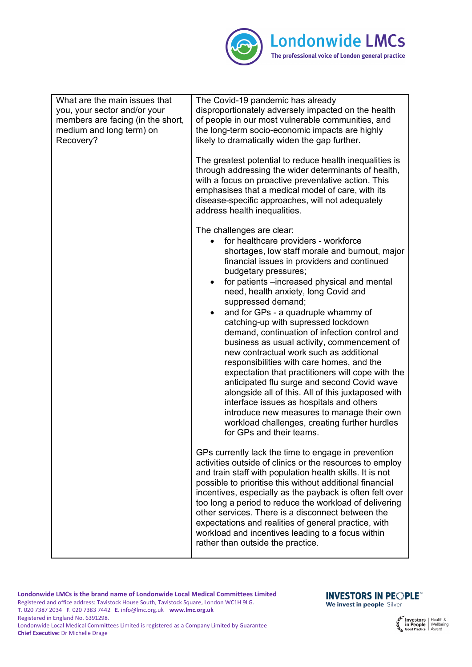

| What are the main issues that<br>you, your sector and/or your<br>members are facing (in the short,<br>medium and long term) on<br>Recovery? | The Covid-19 pandemic has already<br>disproportionately adversely impacted on the health<br>of people in our most vulnerable communities, and<br>the long-term socio-economic impacts are highly<br>likely to dramatically widen the gap further.<br>The greatest potential to reduce health inequalities is<br>through addressing the wider determinants of health,<br>with a focus on proactive preventative action. This<br>emphasises that a medical model of care, with its<br>disease-specific approaches, will not adequately<br>address health inequalities.                                                                                                                                                                                                                                                                                                                                                        |
|---------------------------------------------------------------------------------------------------------------------------------------------|-----------------------------------------------------------------------------------------------------------------------------------------------------------------------------------------------------------------------------------------------------------------------------------------------------------------------------------------------------------------------------------------------------------------------------------------------------------------------------------------------------------------------------------------------------------------------------------------------------------------------------------------------------------------------------------------------------------------------------------------------------------------------------------------------------------------------------------------------------------------------------------------------------------------------------|
|                                                                                                                                             | The challenges are clear:<br>for healthcare providers - workforce<br>shortages, low staff morale and burnout, major<br>financial issues in providers and continued<br>budgetary pressures;<br>for patients -increased physical and mental<br>$\bullet$<br>need, health anxiety, long Covid and<br>suppressed demand;<br>and for GPs - a quadruple whammy of<br>catching-up with supressed lockdown<br>demand, continuation of infection control and<br>business as usual activity, commencement of<br>new contractual work such as additional<br>responsibilities with care homes, and the<br>expectation that practitioners will cope with the<br>anticipated flu surge and second Covid wave<br>alongside all of this. All of this juxtaposed with<br>interface issues as hospitals and others<br>introduce new measures to manage their own<br>workload challenges, creating further hurdles<br>for GPs and their teams. |
|                                                                                                                                             | GPs currently lack the time to engage in prevention<br>activities outside of clinics or the resources to employ<br>and train staff with population health skills. It is not<br>possible to prioritise this without additional financial<br>incentives, especially as the payback is often felt over<br>too long a period to reduce the workload of delivering<br>other services. There is a disconnect between the<br>expectations and realities of general practice, with<br>workload and incentives leading to a focus within<br>rather than outside the practice.                                                                                                                                                                                                                                                                                                                                                        |

**INVESTORS IN PEOPLE** We invest in people Silver

**Investors** | Health &<br> **in People** | Wellbeing<br> **Good Practice** | Award

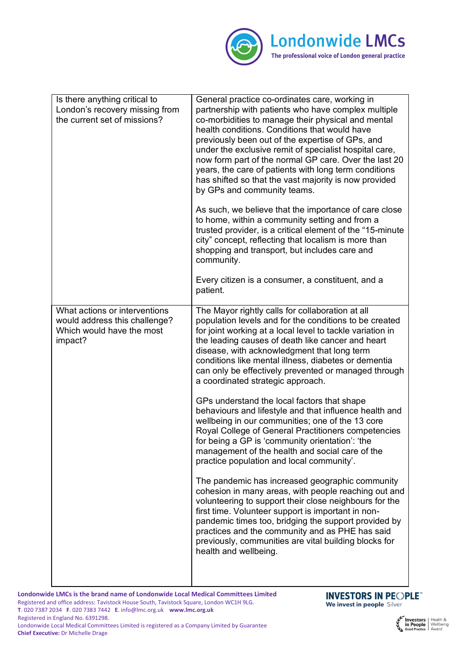

| Is there anything critical to<br>London's recovery missing from<br>the current set of missions?        | General practice co-ordinates care, working in<br>partnership with patients who have complex multiple<br>co-morbidities to manage their physical and mental<br>health conditions. Conditions that would have<br>previously been out of the expertise of GPs, and<br>under the exclusive remit of specialist hospital care,<br>now form part of the normal GP care. Over the last 20<br>years, the care of patients with long term conditions<br>has shifted so that the vast majority is now provided<br>by GPs and community teams.<br>As such, we believe that the importance of care close<br>to home, within a community setting and from a<br>trusted provider, is a critical element of the "15-minute"<br>city" concept, reflecting that localism is more than<br>shopping and transport, but includes care and<br>community.<br>Every citizen is a consumer, a constituent, and a<br>patient.                                                                                                                                                                                                                                                                                                                           |
|--------------------------------------------------------------------------------------------------------|---------------------------------------------------------------------------------------------------------------------------------------------------------------------------------------------------------------------------------------------------------------------------------------------------------------------------------------------------------------------------------------------------------------------------------------------------------------------------------------------------------------------------------------------------------------------------------------------------------------------------------------------------------------------------------------------------------------------------------------------------------------------------------------------------------------------------------------------------------------------------------------------------------------------------------------------------------------------------------------------------------------------------------------------------------------------------------------------------------------------------------------------------------------------------------------------------------------------------------|
| What actions or interventions<br>would address this challenge?<br>Which would have the most<br>impact? | The Mayor rightly calls for collaboration at all<br>population levels and for the conditions to be created<br>for joint working at a local level to tackle variation in<br>the leading causes of death like cancer and heart<br>disease, with acknowledgment that long term<br>conditions like mental illness, diabetes or dementia<br>can only be effectively prevented or managed through<br>a coordinated strategic approach.<br>GPs understand the local factors that shape<br>behaviours and lifestyle and that influence health and<br>wellbeing in our communities; one of the 13 core<br>Royal College of General Practitioners competencies<br>for being a GP is 'community orientation': 'the<br>management of the health and social care of the<br>practice population and local community'.<br>The pandemic has increased geographic community<br>cohesion in many areas, with people reaching out and<br>volunteering to support their close neighbours for the<br>first time. Volunteer support is important in non-<br>pandemic times too, bridging the support provided by<br>practices and the community and as PHE has said<br>previously, communities are vital building blocks for<br>health and wellbeing. |

**Chief Executive:** Dr Michelle Drage

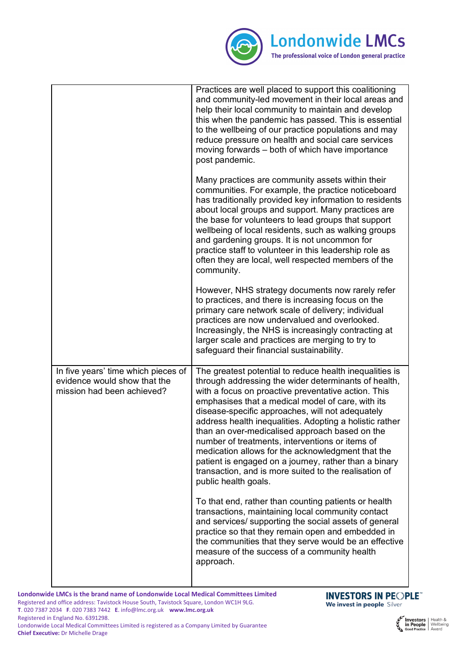

|                                                                                                   | Practices are well placed to support this coalitioning<br>and community-led movement in their local areas and<br>help their local community to maintain and develop<br>this when the pandemic has passed. This is essential<br>to the wellbeing of our practice populations and may<br>reduce pressure on health and social care services<br>moving forwards - both of which have importance<br>post pandemic.<br>Many practices are community assets within their<br>communities. For example, the practice noticeboard<br>has traditionally provided key information to residents<br>about local groups and support. Many practices are<br>the base for volunteers to lead groups that support<br>wellbeing of local residents, such as walking groups |
|---------------------------------------------------------------------------------------------------|----------------------------------------------------------------------------------------------------------------------------------------------------------------------------------------------------------------------------------------------------------------------------------------------------------------------------------------------------------------------------------------------------------------------------------------------------------------------------------------------------------------------------------------------------------------------------------------------------------------------------------------------------------------------------------------------------------------------------------------------------------|
|                                                                                                   | and gardening groups. It is not uncommon for<br>practice staff to volunteer in this leadership role as<br>often they are local, well respected members of the<br>community.                                                                                                                                                                                                                                                                                                                                                                                                                                                                                                                                                                              |
|                                                                                                   | However, NHS strategy documents now rarely refer<br>to practices, and there is increasing focus on the<br>primary care network scale of delivery; individual<br>practices are now undervalued and overlooked.<br>Increasingly, the NHS is increasingly contracting at<br>larger scale and practices are merging to try to<br>safeguard their financial sustainability.                                                                                                                                                                                                                                                                                                                                                                                   |
| In five years' time which pieces of<br>evidence would show that the<br>mission had been achieved? | The greatest potential to reduce health inequalities is<br>through addressing the wider determinants of health,<br>with a focus on proactive preventative action. This<br>emphasises that a medical model of care, with its<br>disease-specific approaches, will not adequately<br>address health inequalities. Adopting a holistic rather<br>than an over-medicalised approach based on the<br>number of treatments, interventions or items of<br>medication allows for the acknowledgment that the<br>patient is engaged on a journey, rather than a binary<br>transaction, and is more suited to the realisation of<br>public health goals.                                                                                                           |
|                                                                                                   | To that end, rather than counting patients or health<br>transactions, maintaining local community contact<br>and services/ supporting the social assets of general<br>practice so that they remain open and embedded in<br>the communities that they serve would be an effective<br>measure of the success of a community health<br>approach.                                                                                                                                                                                                                                                                                                                                                                                                            |

**Chief Executive:** Dr Michelle Drage